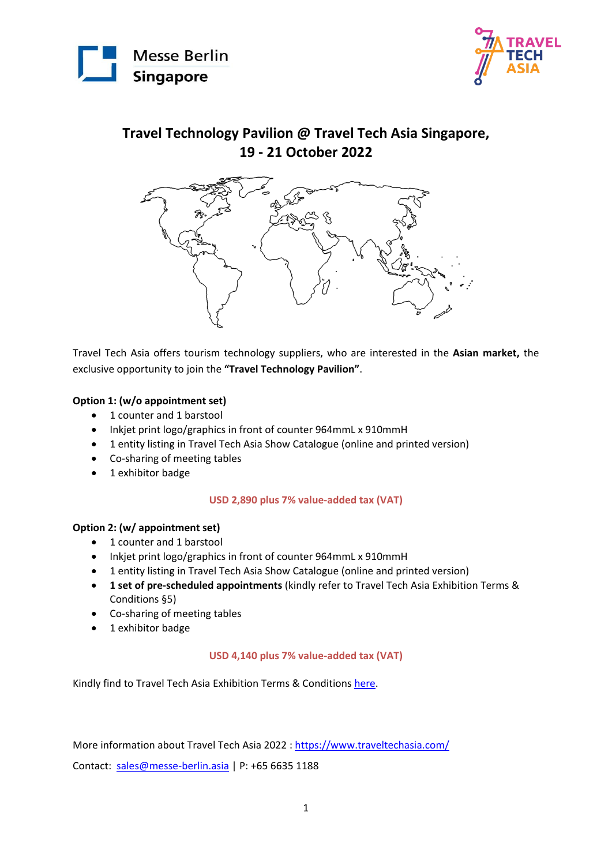



### **Travel Technology Pavilion @ Travel Tech Asia Singapore, 19 - 21 October 2022**



Travel Tech Asia offers tourism technology suppliers, who are interested in the **Asian market,** the exclusive opportunity to join the **"Travel Technology Pavilion"**.

#### **Option 1: (w/o appointment set)**

- 1 counter and 1 barstool
- Inkjet print logo/graphics in front of counter 964mmL x 910mmH
- 1 entity listing in Travel Tech Asia Show Catalogue (online and printed version)
- Co-sharing of meeting tables
- 1 exhibitor badge

#### **USD 2,890 plus 7% value-added tax (VAT)**

#### **Option 2: (w/ appointment set)**

- 1 counter and 1 barstool
- Inkjet print logo/graphics in front of counter 964mmL x 910mmH
- 1 entity listing in Travel Tech Asia Show Catalogue (online and printed version)
- **1 set of pre-scheduled appointments** (kindly refer to Travel Tech Asia Exhibition Terms & Conditions §5)
- Co-sharing of meeting tables
- 1 exhibitor badge

#### **USD 4,140 plus 7% value-added tax (VAT)**

Kindly find to Travel Tech Asia Exhibition Terms & Condition[s here.](https://messe-berlin-asia.my.salesforce.com/sfc/p/#2w000003KBhK/a/2w000000MDBW/icq6VkXtb59Mx4QklWDHW9NzQqDqdS2mdnHFpXBbNbQ)

More information about Travel Tech Asia 2022 : https://www.traveltechasia.com/

Contact: sales@messe-berlin.asia | P: +65 6635 1188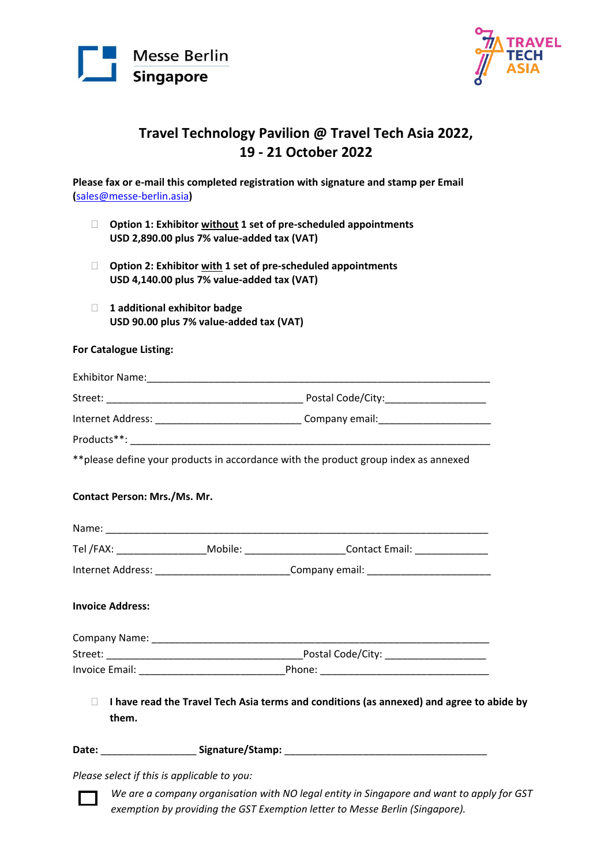



## **Travel Technology Pavilion @ Travel Tech Asia 2022, 19 - 21 October 2022**

**Please fax or e-mail this completed registration with signature and stamp per Email (**sales@messe-berlin.asia**)**

- **Option 1: Exhibitor without 1 set of pre-scheduled appointments USD 2,890.00 plus 7% value-added tax (VAT)**
- **Option 2: Exhibitor with 1 set of pre-scheduled appointments USD 4,140.00 plus 7% value-added tax (VAT)**
- **1 additional exhibitor badge USD 90.00 plus 7% value-added tax (VAT)**

#### **For Catalogue Listing:**

| <b>Exhibitor Name:</b> |                   |
|------------------------|-------------------|
| Street:                | Postal Code/City: |
| Internet Address:      | Company email:    |

Products\*\*:

\*\*please define your products in accordance with the product group index as annexed

#### **Contact Person: Mrs./Ms. Mr.**

| Name:             |         |                       |
|-------------------|---------|-----------------------|
| Tel /FAX:         | Mobile: | <b>Contact Email:</b> |
| Internet Address: |         | Company email:        |

#### **Invoice Address:**

| Company Name:  |                   |
|----------------|-------------------|
| Street:        | Postal Code/City: |
| Invoice Email: | Phone:            |

 **I have read the Travel Tech Asia terms and conditions (as annexed) and agree to abide by them.**

Date: \_\_\_\_\_\_\_\_\_\_\_\_\_\_\_\_\_\_\_\_\_\_Signature/Stamp: \_\_\_\_\_\_\_\_\_\_\_\_\_\_\_\_\_\_\_\_\_\_\_\_\_\_\_\_\_\_\_\_\_\_\_

*Please select if this is applicable to you:* 

exemption by providing the GST Exemption letter to Messe Berlin (Singapore). *We are a company organisation with NO legal entity in Singapore and want to apply for GST*